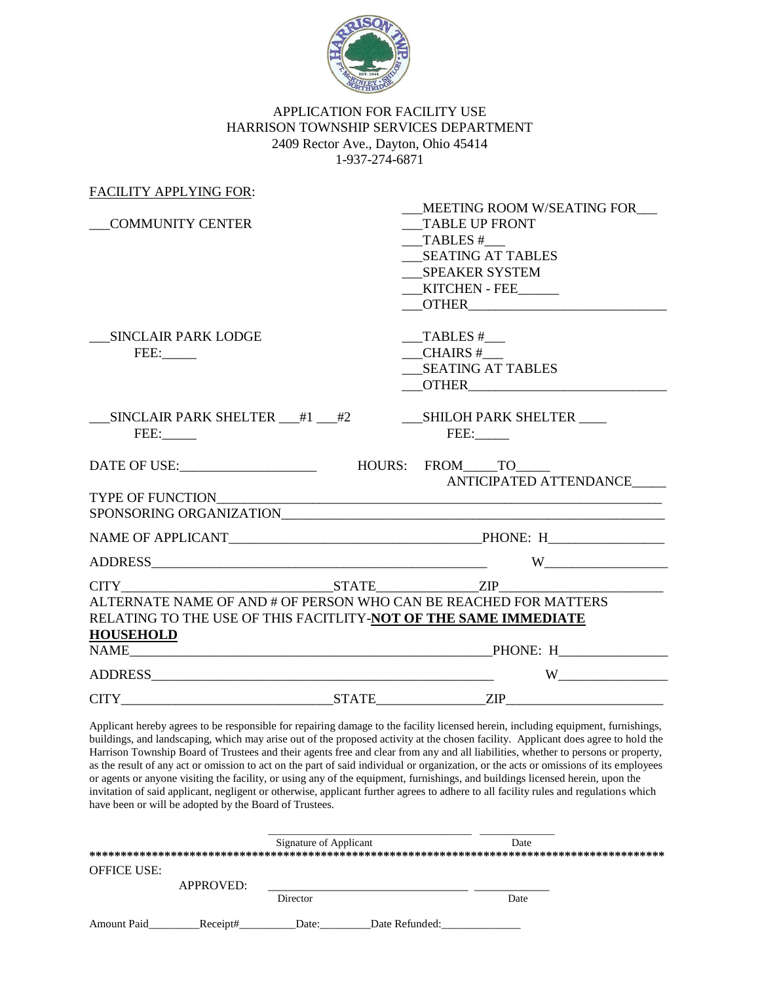

## APPLICATION FOR FACILITY USE HARRISON TOWNSHIP SERVICES DEPARTMENT 2409 Rector Ave., Dayton, Ohio 45414 1-937-274-6871

| <b>FACILITY APPLYING FOR:</b>                                                                                                       |                                                                                                                                       |
|-------------------------------------------------------------------------------------------------------------------------------------|---------------------------------------------------------------------------------------------------------------------------------------|
| <b>COMMUNITY CENTER</b>                                                                                                             | MEETING ROOM W/SEATING FOR<br><b>TABLE UP FRONT</b><br>TABLES #<br><b>SEATING AT TABLES</b><br><b>SPEAKER SYSTEM</b><br>KITCHEN - FEE |
| __ SINCLAIR PARK LODGE<br>FEE:                                                                                                      | TABLES #<br>$CHAIRS \#$<br><b>SEATING AT TABLES</b>                                                                                   |
| __SINCLAIR PARK SHELTER __#1 __#2 __________SHILOH PARK SHELTER ____<br>FEE:                                                        | FEE:                                                                                                                                  |
|                                                                                                                                     | ANTICIPATED ATTENDANCE                                                                                                                |
|                                                                                                                                     |                                                                                                                                       |
|                                                                                                                                     |                                                                                                                                       |
|                                                                                                                                     |                                                                                                                                       |
| ALTERNATE NAME OF AND # OF PERSON WHO CAN BE REACHED FOR MATTERS<br>RELATING TO THE USE OF THIS FACITLITY-NOT OF THE SAME IMMEDIATE | CITY STATE ZIP                                                                                                                        |
| <b>HOUSEHOLD</b>                                                                                                                    |                                                                                                                                       |
|                                                                                                                                     | W <sub>1</sub>                                                                                                                        |
|                                                                                                                                     | $CITY$ $ZIP$                                                                                                                          |

Applicant hereby agrees to be responsible for repairing damage to the facility licensed herein, including equipment, furnishings, buildings, and landscaping, which may arise out of the proposed activity at the chosen facility. Applicant does agree to hold the Harrison Township Board of Trustees and their agents free and clear from any and all liabilities, whether to persons or property, as the result of any act or omission to act on the part of said individual or organization, or the acts or omissions of its employees or agents or anyone visiting the facility, or using any of the equipment, furnishings, and buildings licensed herein, upon the invitation of said applicant, negligent or otherwise, applicant further agrees to adhere to all facility rules and regulations which have been or will be adopted by the Board of Trustees.

|             |           | Signature of Applicant |                | Date |  |
|-------------|-----------|------------------------|----------------|------|--|
|             |           |                        |                |      |  |
| OFFICE USE: |           |                        |                |      |  |
|             | APPROVED: |                        |                |      |  |
|             |           | Director               |                | Date |  |
| Amount Paid | Receipt#  | Date:                  | Date Refunded: |      |  |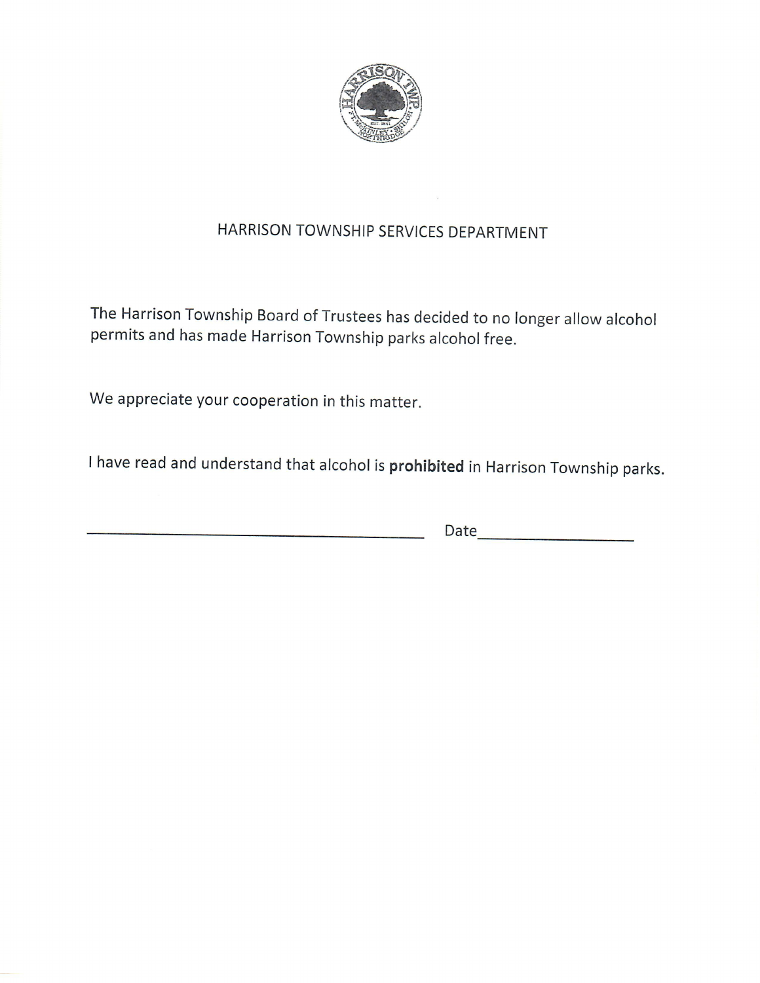

## HARRISON TOWNSHIP SERVICES DEPARTMENT

The Harrison Township Board of Trustees has decided to no longer allow alcohol permits and has made Harrison Township parks alcohol free.

We appreciate your cooperation in this matter.

I have read and understand that alcohol is prohibited in Harrison Township parks.